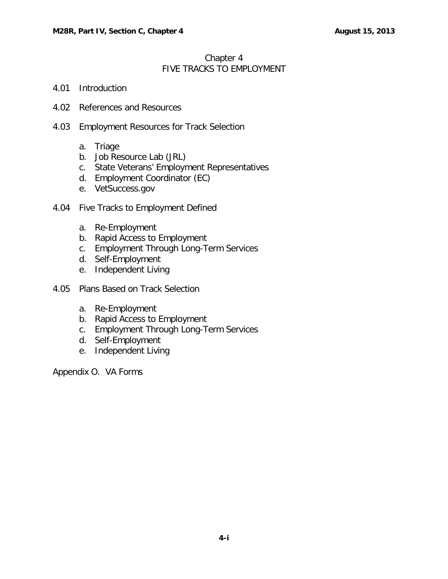# Chapter 4 FIVE TRACKS TO EMPLOYMENT

- 4.01 [Introduction](#page-1-0)
- 4.02 [References and Resources](#page-1-1)
- 4.03 [Employment Resources for Track Selection](#page-1-2)
	- a. [Triage](#page-1-3)
	- b. [Job Resource Lab \(JRL\)](#page-2-0)
	- c. [State Veterans' Employment Representatives](#page-2-1)
	- d. [Employment Coordinator \(EC\)](#page-2-2)
	- e. [VetSuccess.gov](#page-2-3)
- 4.04 [Five Tracks to Employment Defined](#page-3-0)
	- a. [Re-Employment](#page-3-1)
	- b. [Rapid Access to Employment](#page-4-0)
	- c. [Employment Through Long-Term Services](#page-4-1)
	- d. [Self-Employment](#page-5-0)
	- e. [Independent Living](#page-5-1)
- 4.05 [Plans Based on Track Selection](#page-6-0)
	- a. [Re-Employment](#page-6-1)
	- b. [Rapid Access to Employment](#page-6-2)
	- c. [Employment Through Long-Term Services](#page-6-3)
	- d. [Self-Employment](#page-6-4)
	- e. [Independent Living](#page-6-5)

Appendix O. VA Forms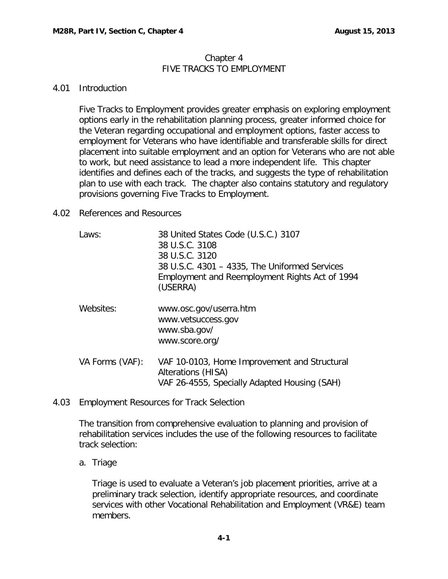### Chapter 4 FIVE TRACKS TO EMPLOYMENT

### <span id="page-1-0"></span>4.01 Introduction

Five Tracks to Employment provides greater emphasis on exploring employment options early in the rehabilitation planning process, greater informed choice for the Veteran regarding occupational and employment options, faster access to employment for Veterans who have identifiable and transferable skills for direct placement into suitable employment and an option for Veterans who are not able to work, but need assistance to lead a more independent life. This chapter identifies and defines each of the tracks, and suggests the type of rehabilitation plan to use with each track. The chapter also contains statutory and regulatory provisions governing Five Tracks to Employment.

### <span id="page-1-1"></span>4.02 References and Resources

| Laws:           | 38 United States Code (U.S.C.) 3107<br>38 U.S.C. 3108<br>38 U.S.C. 3120<br>38 U.S.C. 4301 - 4335, The Uniformed Services<br>Employment and Reemployment Rights Act of 1994<br>(USERRA) |
|-----------------|----------------------------------------------------------------------------------------------------------------------------------------------------------------------------------------|
| Websites:       | www.osc.gov/userra.htm<br>www.vetsuccess.gov<br>www.sba.gov/<br>www.score.org/                                                                                                         |
| VA Forms (VAF): | VAF 10-0103, Home Improvement and Structural<br>Alterations (HISA)<br>VAF 26-4555, Specially Adapted Housing (SAH)                                                                     |

<span id="page-1-2"></span>4.03 Employment Resources for Track Selection

The transition from comprehensive evaluation to planning and provision of rehabilitation services includes the use of the following resources to facilitate track selection:

# <span id="page-1-3"></span>a. Triage

Triage is used to evaluate a Veteran's job placement priorities, arrive at a preliminary track selection, identify appropriate resources, and coordinate services with other Vocational Rehabilitation and Employment (VR&E) team members.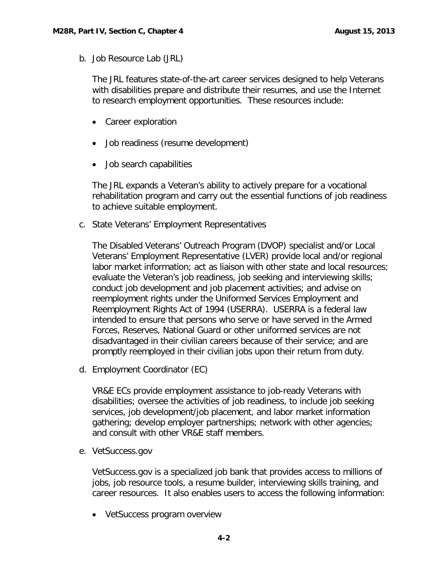<span id="page-2-0"></span>b. Job Resource Lab (JRL)

The JRL features state-of-the-art career services designed to help Veterans with disabilities prepare and distribute their resumes, and use the Internet to research employment opportunities. These resources include:

- Career exploration
- Job readiness (resume development)
- Job search capabilities

The JRL expands a Veteran's ability to actively prepare for a vocational rehabilitation program and carry out the essential functions of job readiness to achieve suitable employment.

<span id="page-2-1"></span>c. State Veterans' Employment Representatives

The Disabled Veterans' Outreach Program (DVOP) specialist and/or Local Veterans' Employment Representative (LVER) provide local and/or regional labor market information; act as liaison with other state and local resources; evaluate the Veteran's job readiness, job seeking and interviewing skills; conduct job development and job placement activities; and advise on reemployment rights under the Uniformed Services Employment and Reemployment Rights Act of 1994 (USERRA). USERRA is a federal law intended to ensure that persons who serve or have served in the Armed Forces, Reserves, National Guard or other uniformed services are not disadvantaged in their civilian careers because of their service; and are promptly reemployed in their civilian jobs upon their return from duty.

<span id="page-2-2"></span>d. Employment Coordinator (EC)

VR&E ECs provide employment assistance to job-ready Veterans with disabilities; oversee the activities of job readiness, to include job seeking services, job development/job placement, and labor market information gathering; develop employer partnerships; network with other agencies; and consult with other VR&E staff members.

<span id="page-2-3"></span>e. VetSuccess.gov

VetSuccess.gov is a specialized job bank that provides access to millions of jobs, job resource tools, a resume builder, interviewing skills training, and career resources. It also enables users to access the following information:

• VetSuccess program overview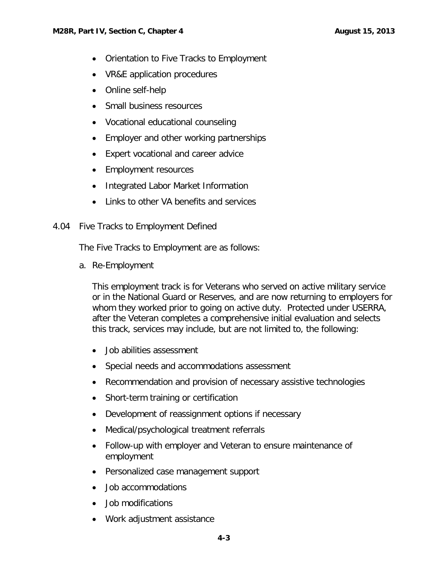- Orientation to Five Tracks to Employment
- VR&E application procedures
- Online self-help
- Small business resources
- Vocational educational counseling
- Employer and other working partnerships
- Expert vocational and career advice
- Employment resources
- Integrated Labor Market Information
- Links to other VA benefits and services
- <span id="page-3-0"></span>4.04 Five Tracks to Employment Defined

The Five Tracks to Employment are as follows:

<span id="page-3-1"></span>a. Re-Employment

This employment track is for Veterans who served on active military service or in the National Guard or Reserves, and are now returning to employers for whom they worked prior to going on active duty. Protected under USERRA, after the Veteran completes a comprehensive initial evaluation and selects this track, services may include, but are not limited to, the following:

- Job abilities assessment
- Special needs and accommodations assessment
- Recommendation and provision of necessary assistive technologies
- Short-term training or certification
- Development of reassignment options if necessary
- Medical/psychological treatment referrals
- Follow-up with employer and Veteran to ensure maintenance of employment
- Personalized case management support
- Job accommodations
- Job modifications
- Work adjustment assistance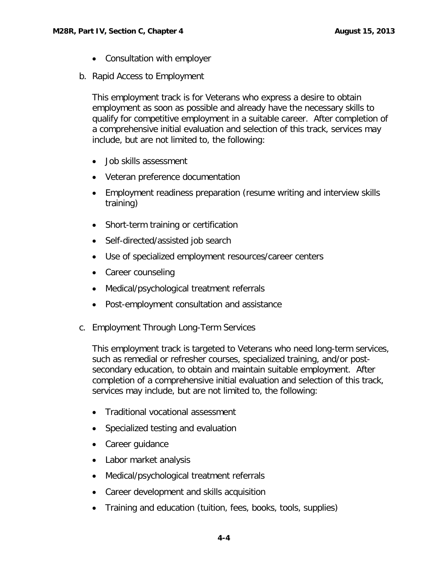- Consultation with employer
- <span id="page-4-0"></span>b. Rapid Access to Employment

This employment track is for Veterans who express a desire to obtain employment as soon as possible and already have the necessary skills to qualify for competitive employment in a suitable career. After completion of a comprehensive initial evaluation and selection of this track, services may include, but are not limited to, the following:

- Job skills assessment
- Veteran preference documentation
- Employment readiness preparation (resume writing and interview skills training)
- Short-term training or certification
- Self-directed/assisted job search
- Use of specialized employment resources/career centers
- Career counseling
- Medical/psychological treatment referrals
- Post-employment consultation and assistance
- <span id="page-4-1"></span>c. Employment Through Long-Term Services

This employment track is targeted to Veterans who need long-term services, such as remedial or refresher courses, specialized training, and/or postsecondary education, to obtain and maintain suitable employment. After completion of a comprehensive initial evaluation and selection of this track, services may include, but are not limited to, the following:

- Traditional vocational assessment
- Specialized testing and evaluation
- Career guidance
- Labor market analysis
- Medical/psychological treatment referrals
- Career development and skills acquisition
- Training and education (tuition, fees, books, tools, supplies)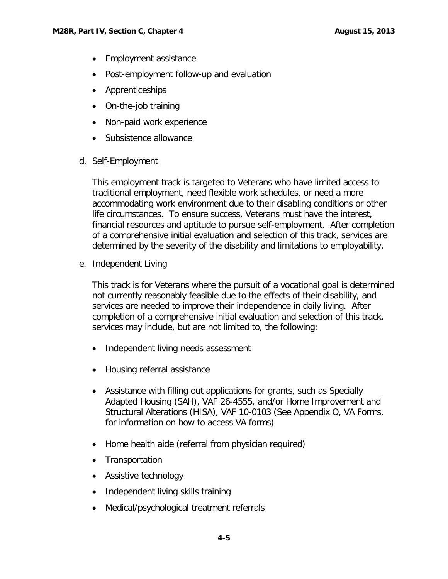- Employment assistance
- Post-employment follow-up and evaluation
- Apprenticeships
- On-the-job training
- Non-paid work experience
- Subsistence allowance
- <span id="page-5-0"></span>d. Self-Employment

This employment track is targeted to Veterans who have limited access to traditional employment, need flexible work schedules, or need a more accommodating work environment due to their disabling conditions or other life circumstances. To ensure success, Veterans must have the interest, financial resources and aptitude to pursue self-employment. After completion of a comprehensive initial evaluation and selection of this track, services are determined by the severity of the disability and limitations to employability.

<span id="page-5-1"></span>e. Independent Living

This track is for Veterans where the pursuit of a vocational goal is determined not currently reasonably feasible due to the effects of their disability, and services are needed to improve their independence in daily living. After completion of a comprehensive initial evaluation and selection of this track, services may include, but are not limited to, the following:

- Independent living needs assessment
- Housing referral assistance
- Assistance with filling out applications for grants, such as Specially Adapted Housing (SAH), VAF 26-4555, and/or Home Improvement and Structural Alterations (HISA), VAF 10-0103 (See Appendix O, VA Forms, for information on how to access VA forms)
- Home health aide (referral from physician required)
- Transportation
- Assistive technology
- Independent living skills training
- Medical/psychological treatment referrals